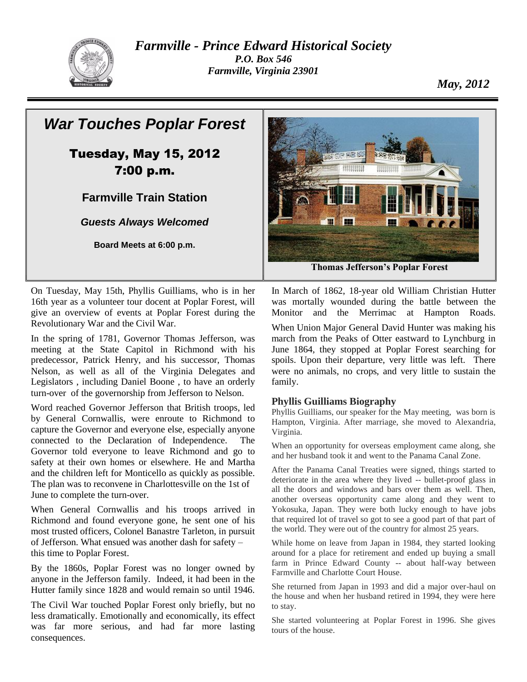

*Farmville - Prince Edward Historical Society P.O. Box 546 Farmville, Virginia 23901*

*May, 2012*

## *War Touches Poplar Forest* Tuesday, May 15, 2012 **HUUBH** 7:00 p.m. **Farmville Train Station** *Guests Always Welcomed* m 斜平 **Board Meets at 6:00 p.m. Thomas Jefferson's Poplar Forest**

On Tuesday, May 15th, Phyllis Guilliams, who is in her 16th year as a volunteer tour docent at Poplar Forest, will give an overview of events at Poplar Forest during the Revolutionary War and the Civil War.

In the spring of 1781, Governor Thomas Jefferson, was meeting at the State Capitol in Richmond with his predecessor, Patrick Henry, and his successor, Thomas Nelson, as well as all of the Virginia Delegates and Legislators , including Daniel Boone , to have an orderly turn-over of the governorship from Jefferson to Nelson.

Word reached Governor Jefferson that British troops, led by General Cornwallis, were enroute to Richmond to capture the Governor and everyone else, especially anyone connected to the Declaration of Independence. The Governor told everyone to leave Richmond and go to safety at their own homes or elsewhere. He and Martha and the children left for Monticello as quickly as possible. The plan was to reconvene in Charlottesville on the 1st of June to complete the turn-over.

When General Cornwallis and his troops arrived in Richmond and found everyone gone, he sent one of his most trusted officers, Colonel Banastre Tarleton, in pursuit of Jefferson. What ensued was another dash for safety – this time to Poplar Forest.

By the 1860s, Poplar Forest was no longer owned by anyone in the Jefferson family. Indeed, it had been in the Hutter family since 1828 and would remain so until 1946.

The Civil War touched Poplar Forest only briefly, but no less dramatically. Emotionally and economically, its effect was far more serious, and had far more lasting consequences.

In March of 1862, 18-year old William Christian Hutter was mortally wounded during the battle between the Monitor and the Merrimac at Hampton Roads.

When Union Major General David Hunter was making his march from the Peaks of Otter eastward to Lynchburg in June 1864, they stopped at Poplar Forest searching for spoils. Upon their departure, very little was left. There were no animals, no crops, and very little to sustain the family.

### **Phyllis Guilliams Biography**

Phyllis Guilliams, our speaker for the May meeting, was born is Hampton, Virginia. After marriage, she moved to Alexandria, Virginia.

When an opportunity for overseas employment came along, she and her husband took it and went to the Panama Canal Zone.

After the Panama Canal Treaties were signed, things started to deteriorate in the area where they lived -- bullet-proof glass in all the doors and windows and bars over them as well. Then, another overseas opportunity came along and they went to Yokosuka, Japan. They were both lucky enough to have jobs that required lot of travel so got to see a good part of that part of the world. They were out of the country for almost 25 years.

While home on leave from Japan in 1984, they started looking around for a place for retirement and ended up buying a small farm in Prince Edward County -- about half-way between Farmville and Charlotte Court House.

She returned from Japan in 1993 and did a major over-haul on the house and when her husband retired in 1994, they were here to stay.

She started volunteering at Poplar Forest in 1996. She gives tours of the house.